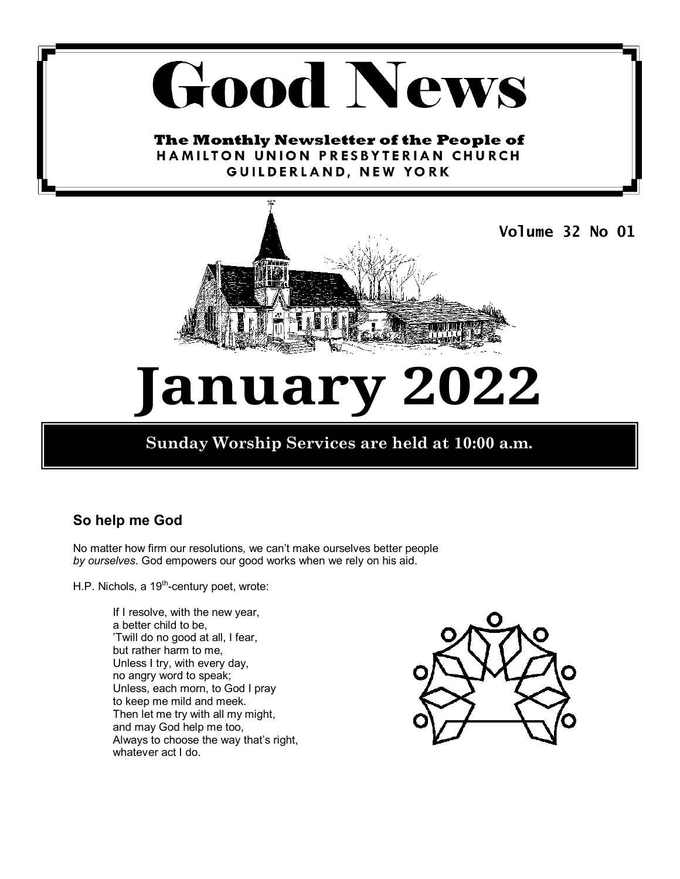# **Good News**

The Monthly Newsletter of the People of HAMILTON UNION PRESBYTERIAN CHURCH GUILDERLAND, NEW YORK



# **January 2022**

## **Sunday Worship Services are held at 10:00 a.m.**

### **So help me God**

No matter how firm our resolutions, we can't make ourselves better people *by ourselves*. God empowers our good works when we rely on his aid.

H.P. Nichols, a 19<sup>th</sup>-century poet, wrote:

If I resolve, with the new year, a better child to be, 'Twill do no good at all, I fear, but rather harm to me, Unless I try, with every day, no angry word to speak; Unless, each morn, to God I pray to keep me mild and meek. Then let me try with all my might, and may God help me too, Always to choose the way that's right, whatever act I do.

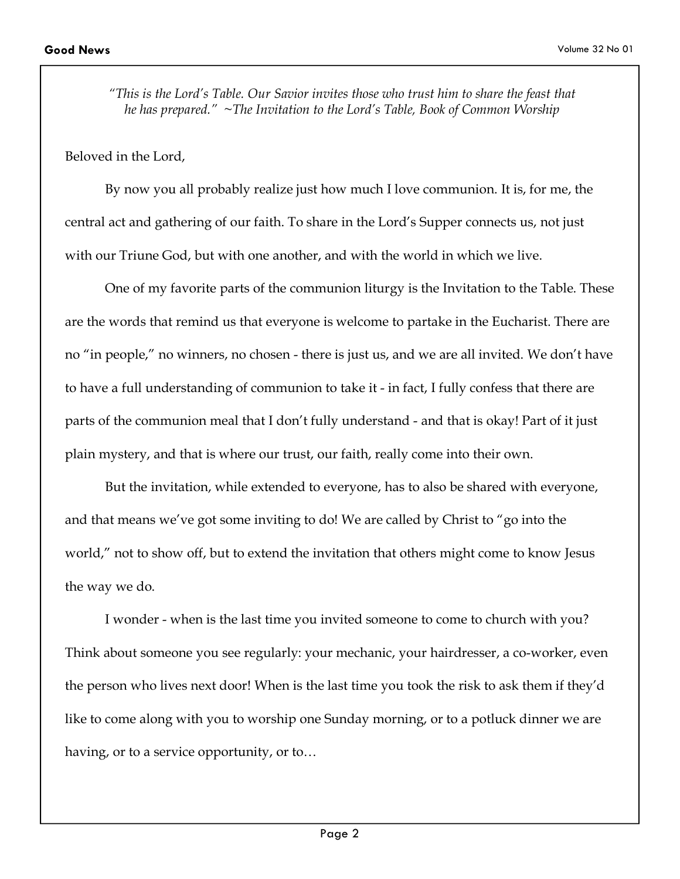*"This is the Lord's Table. Our Savior invites those who trust him to share the feast that he has prepared." ~The Invitation to the Lord's Table, Book of Common Worship*

Beloved in the Lord,

 By now you all probably realize just how much I love communion. It is, for me, the central act and gathering of our faith. To share in the Lord's Supper connects us, not just with our Triune God, but with one another, and with the world in which we live.

 One of my favorite parts of the communion liturgy is the Invitation to the Table. These are the words that remind us that everyone is welcome to partake in the Eucharist. There are no "in people," no winners, no chosen - there is just us, and we are all invited. We don't have to have a full understanding of communion to take it - in fact, I fully confess that there are parts of the communion meal that I don't fully understand - and that is okay! Part of it just plain mystery, and that is where our trust, our faith, really come into their own.

 But the invitation, while extended to everyone, has to also be shared with everyone, and that means we've got some inviting to do! We are called by Christ to "go into the world," not to show off, but to extend the invitation that others might come to know Jesus the way we do.

 I wonder - when is the last time you invited someone to come to church with you? Think about someone you see regularly: your mechanic, your hairdresser, a co-worker, even the person who lives next door! When is the last time you took the risk to ask them if they'd like to come along with you to worship one Sunday morning, or to a potluck dinner we are having, or to a service opportunity, or to…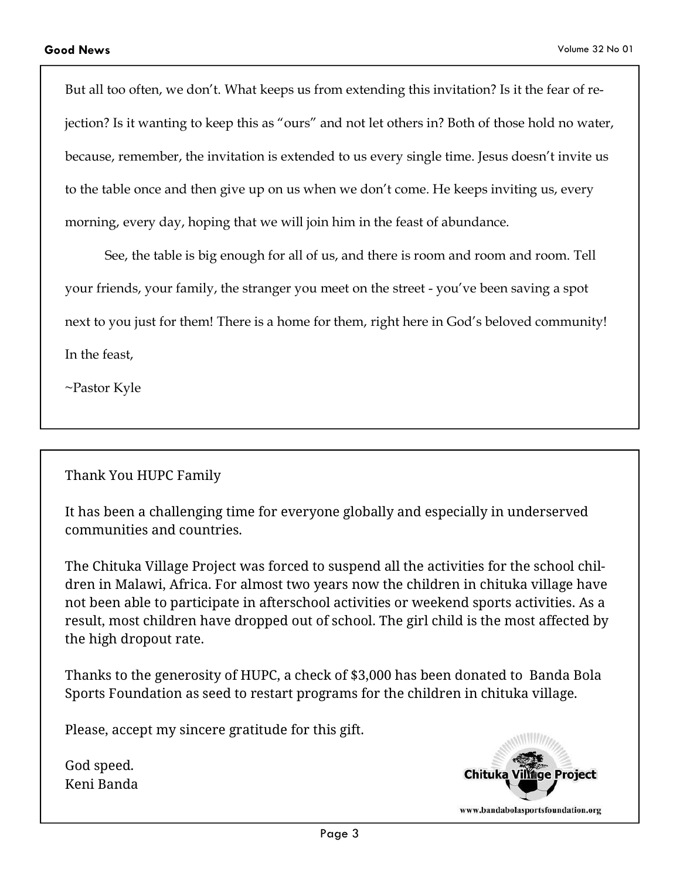But all too often, we don't. What keeps us from extending this invitation? Is it the fear of rejection? Is it wanting to keep this as "ours" and not let others in? Both of those hold no water, because, remember, the invitation is extended to us every single time. Jesus doesn't invite us to the table once and then give up on us when we don't come. He keeps inviting us, every morning, every day, hoping that we will join him in the feast of abundance.

 See, the table is big enough for all of us, and there is room and room and room. Tell your friends, your family, the stranger you meet on the street - you've been saving a spot next to you just for them! There is a home for them, right here in God's beloved community! In the feast,

~Pastor Kyle

#### Thank You HUPC Family

It has been a challenging time for everyone globally and especially in underserved communities and countries.

The Chituka Village Project was forced to suspend all the activities for the school children in Malawi, Africa. For almost two years now the children in chituka village have not been able to participate in afterschool activities or weekend sports activities. As a result, most children have dropped out of school. The girl child is the most affected by the high dropout rate.

Thanks to the generosity of HUPC, a check of \$3,000 has been donated to Banda Bola Sports Foundation as seed to restart programs for the children in chituka village.

Please, accept my sincere gratitude for this gift.

God speed. Keni Banda

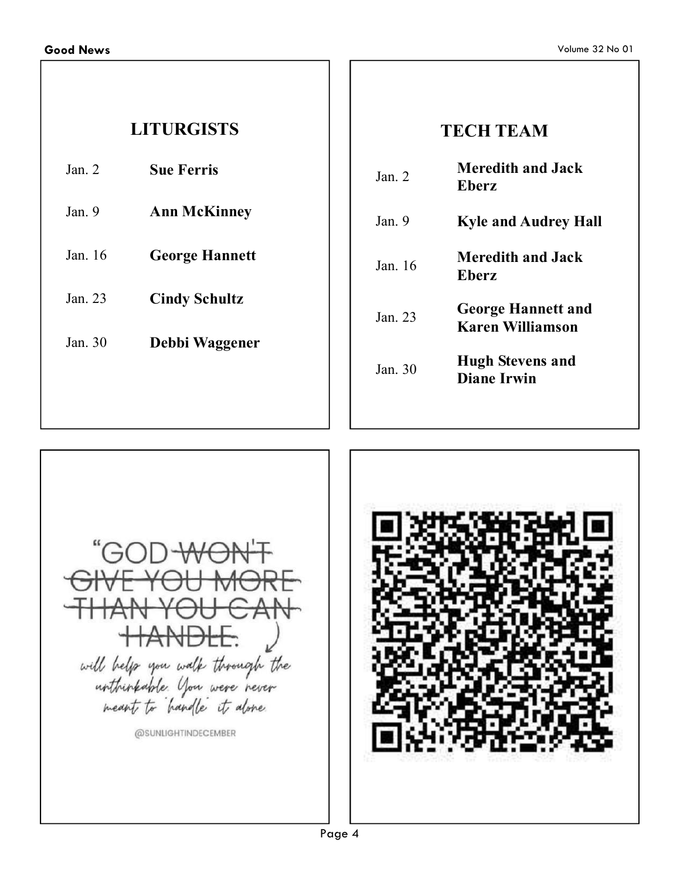# **LITURGISTS**

- Jan. 2 **Sue Ferris**
- Jan. 9 **Ann McKinney**
- Jan. 16 **George Hannett**

Jan. 23 **Cindy Schultz** 

Jan. 30 **Debbi Waggener** 

# **TECH TEAM**

| Jan $2$  | <b>Meredith and Jack</b><br><b>Eberz</b>             |
|----------|------------------------------------------------------|
| Jan 9    | <b>Kyle and Audrey Hall</b>                          |
| Jan $16$ | <b>Meredith and Jack</b><br><b>Eberz</b>             |
| Jan $23$ | <b>George Hannett and</b><br><b>Karen Williamson</b> |
| Jan $30$ | <b>Hugh Stevens and</b><br><b>Diane Irwin</b>        |
|          |                                                      |



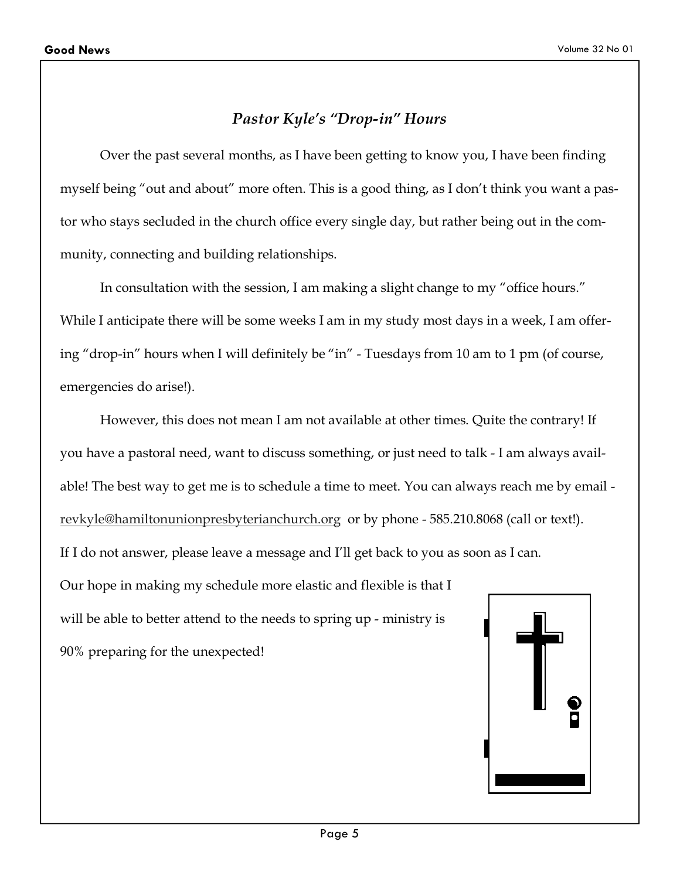### *Pastor Kyle's "Drop-in" Hours*

 Over the past several months, as I have been getting to know you, I have been finding myself being "out and about" more often. This is a good thing, as I don't think you want a pastor who stays secluded in the church office every single day, but rather being out in the community, connecting and building relationships.

 In consultation with the session, I am making a slight change to my "office hours." While I anticipate there will be some weeks I am in my study most days in a week, I am offering "drop-in" hours when I will definitely be "in" - Tuesdays from 10 am to 1 pm (of course, emergencies do arise!).

 However, this does not mean I am not available at other times. Quite the contrary! If you have a pastoral need, want to discuss something, or just need to talk - I am always available! The best way to get me is to schedule a time to meet. You can always reach me by email revkyle@hamiltonunionpresbyterianchurch.org or by phone - 585.210.8068 (call or text!).

If I do not answer, please leave a message and I'll get back to you as soon as I can.

Our hope in making my schedule more elastic and flexible is that I will be able to better attend to the needs to spring up - ministry is

90% preparing for the unexpected!

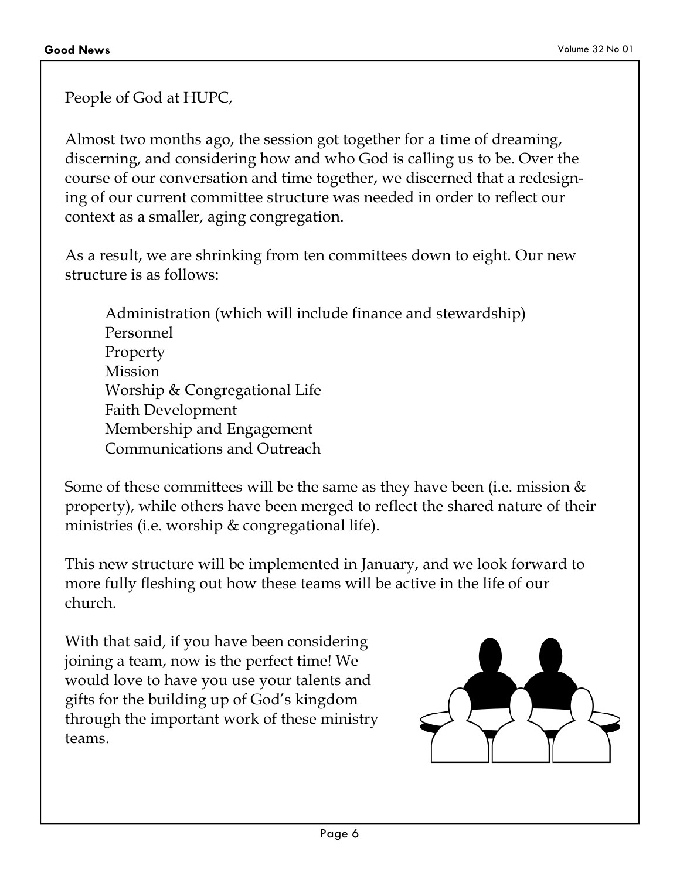People of God at HUPC,

Almost two months ago, the session got together for a time of dreaming, discerning, and considering how and who God is calling us to be. Over the course of our conversation and time together, we discerned that a redesigning of our current committee structure was needed in order to reflect our context as a smaller, aging congregation.

As a result, we are shrinking from ten committees down to eight. Our new structure is as follows:

Administration (which will include finance and stewardship) Personnel Property Mission Worship & Congregational Life Faith Development Membership and Engagement Communications and Outreach

Some of these committees will be the same as they have been (i.e. mission & property), while others have been merged to reflect the shared nature of their ministries (i.e. worship & congregational life).

This new structure will be implemented in January, and we look forward to more fully fleshing out how these teams will be active in the life of our church.

With that said, if you have been considering joining a team, now is the perfect time! We would love to have you use your talents and gifts for the building up of God's kingdom through the important work of these ministry teams.

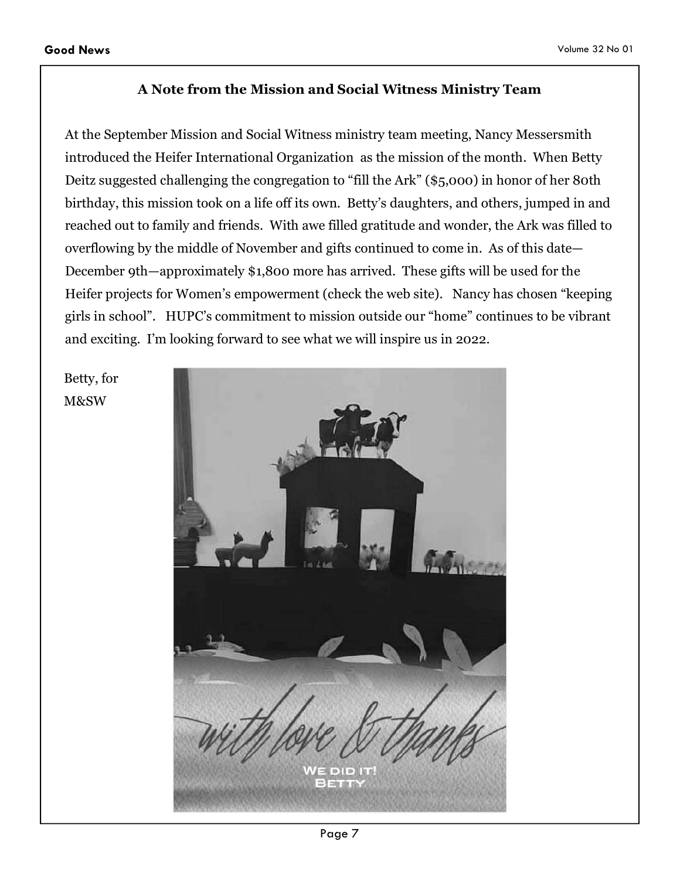#### **A Note from the Mission and Social Witness Ministry Team**

At the September Mission and Social Witness ministry team meeting, Nancy Messersmith introduced the Heifer International Organization as the mission of the month. When Betty Deitz suggested challenging the congregation to "fill the Ark" (\$5,000) in honor of her 80th birthday, this mission took on a life off its own. Betty's daughters, and others, jumped in and reached out to family and friends. With awe filled gratitude and wonder, the Ark was filled to overflowing by the middle of November and gifts continued to come in. As of this date— December 9th—approximately \$1,800 more has arrived. These gifts will be used for the Heifer projects for Women's empowerment (check the web site). Nancy has chosen "keeping girls in school". HUPC's commitment to mission outside our "home" continues to be vibrant and exciting. I'm looking forward to see what we will inspire us in 2022.

Betty, for M&SW

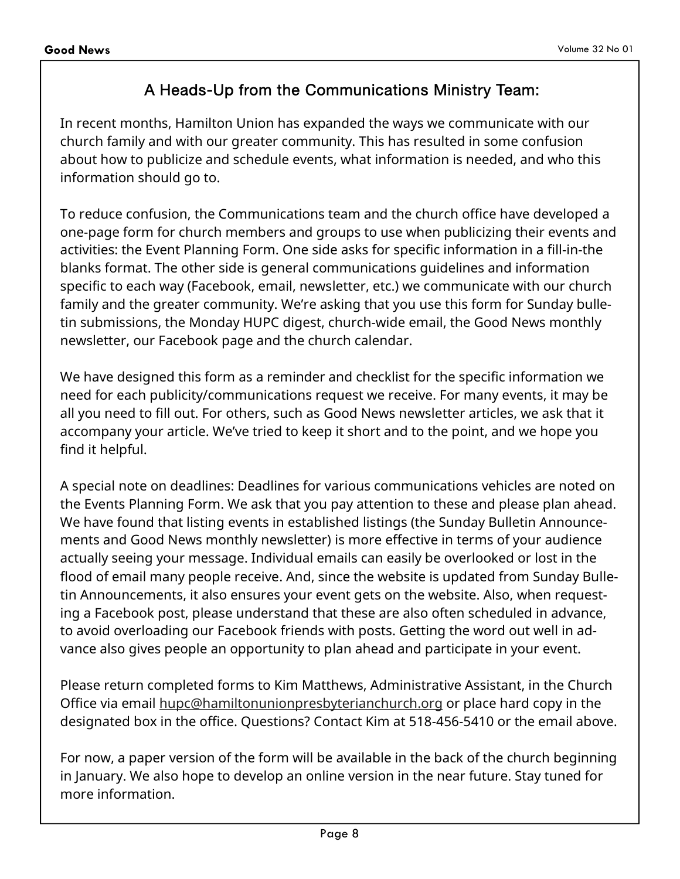### A Heads-Up from the Communications Ministry Team:

In recent months, Hamilton Union has expanded the ways we communicate with our church family and with our greater community. This has resulted in some confusion about how to publicize and schedule events, what information is needed, and who this information should go to.

To reduce confusion, the Communications team and the church office have developed a one-page form for church members and groups to use when publicizing their events and activities: the Event Planning Form. One side asks for specific information in a fill-in-the blanks format. The other side is general communications guidelines and information specific to each way (Facebook, email, newsletter, etc.) we communicate with our church family and the greater community. We're asking that you use this form for Sunday bulletin submissions, the Monday HUPC digest, church-wide email, the Good News monthly newsletter, our Facebook page and the church calendar.

We have designed this form as a reminder and checklist for the specific information we need for each publicity/communications request we receive. For many events, it may be all you need to fill out. For others, such as Good News newsletter articles, we ask that it accompany your article. We've tried to keep it short and to the point, and we hope you find it helpful.

A special note on deadlines: Deadlines for various communications vehicles are noted on the Events Planning Form. We ask that you pay attention to these and please plan ahead. We have found that listing events in established listings (the Sunday Bulletin Announcements and Good News monthly newsletter) is more effective in terms of your audience actually seeing your message. Individual emails can easily be overlooked or lost in the flood of email many people receive. And, since the website is updated from Sunday Bulletin Announcements, it also ensures your event gets on the website. Also, when requesting a Facebook post, please understand that these are also often scheduled in advance, to avoid overloading our Facebook friends with posts. Getting the word out well in advance also gives people an opportunity to plan ahead and participate in your event.

Please return completed forms to Kim Matthews, Administrative Assistant, in the Church Office via email hupc@hamiltonunionpresbyterianchurch.org or place hard copy in the designated box in the office. Questions? Contact Kim at 518-456-5410 or the email above.

For now, a paper version of the form will be available in the back of the church beginning in January. We also hope to develop an online version in the near future. Stay tuned for more information.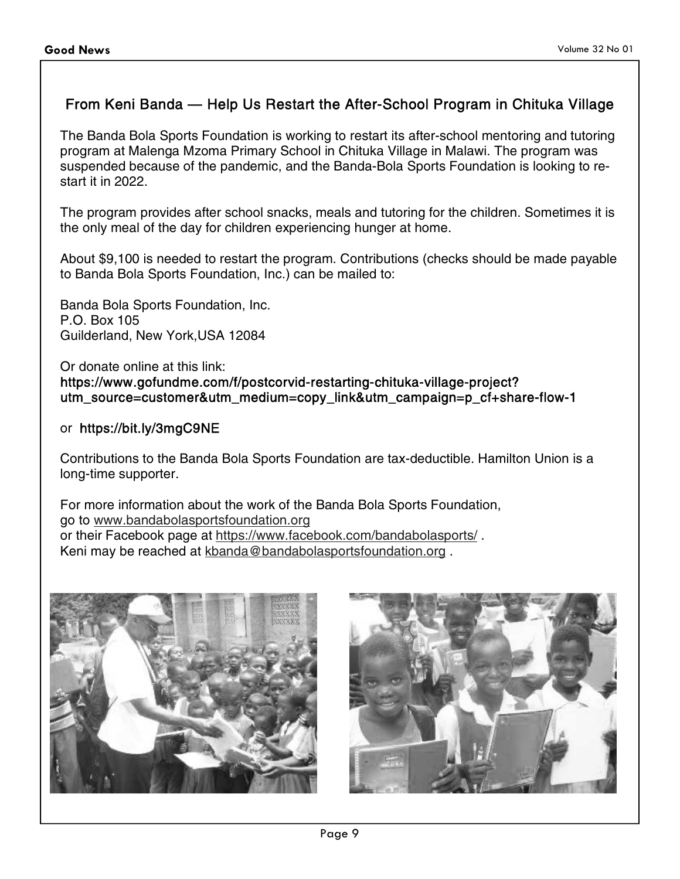#### From Keni Banda — Help Us Restart the After-School Program in Chituka Village

The Banda Bola Sports Foundation is working to restart its after-school mentoring and tutoring program at Malenga Mzoma Primary School in Chituka Village in Malawi. The program was suspended because of the pandemic, and the Banda-Bola Sports Foundation is looking to restart it in 2022.

The program provides after school snacks, meals and tutoring for the children. Sometimes it is the only meal of the day for children experiencing hunger at home.

About \$9,100 is needed to restart the program. Contributions (checks should be made payable to Banda Bola Sports Foundation, Inc.) can be mailed to:

Banda Bola Sports Foundation, Inc. P.O. Box 105 Guilderland, New York,USA 12084

Or donate online at this link: https://www.gofundme.com/f/postcorvid-restarting-chituka-village-project? utm\_source=customer&utm\_medium=copy\_link&utm\_campaign=p\_cf+share-flow-1

#### or https://bit.ly/3mgC9NE

Contributions to the Banda Bola Sports Foundation are tax-deductible. Hamilton Union is a long-time supporter.

For more information about the work of the Banda Bola Sports Foundation, go to www.bandabolasportsfoundation.org or their Facebook page at https://www.facebook.com/bandabolasports/ . Keni may be reached at kbanda@bandabolasportsfoundation.org .



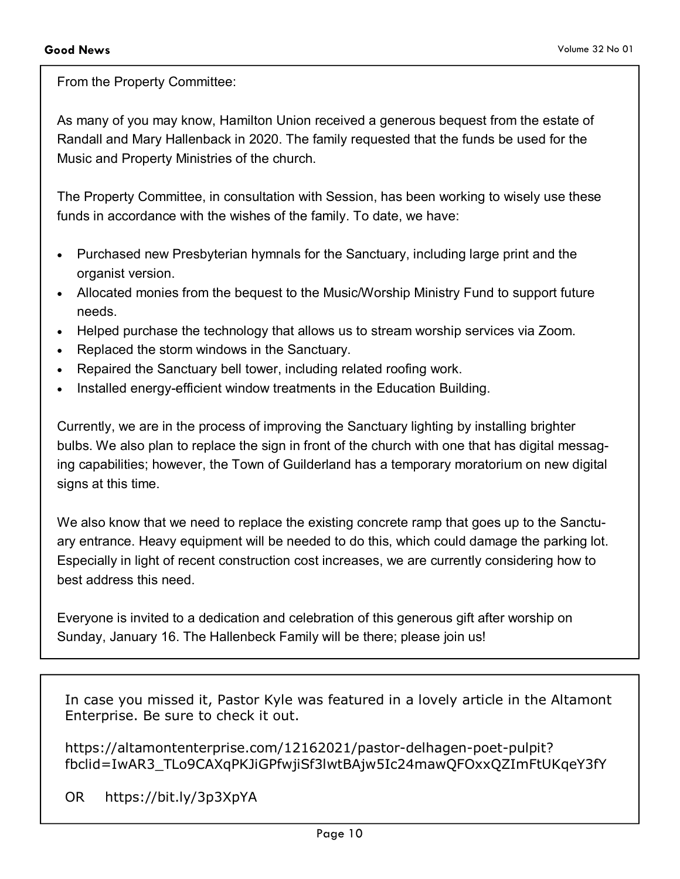From the Property Committee:

As many of you may know, Hamilton Union received a generous bequest from the estate of Randall and Mary Hallenback in 2020. The family requested that the funds be used for the Music and Property Ministries of the church.

The Property Committee, in consultation with Session, has been working to wisely use these funds in accordance with the wishes of the family. To date, we have:

- Purchased new Presbyterian hymnals for the Sanctuary, including large print and the organist version.
- Allocated monies from the bequest to the Music/Worship Ministry Fund to support future needs.
- Helped purchase the technology that allows us to stream worship services via Zoom.
- Replaced the storm windows in the Sanctuary.
- Repaired the Sanctuary bell tower, including related roofing work.
- Installed energy-efficient window treatments in the Education Building.

Currently, we are in the process of improving the Sanctuary lighting by installing brighter bulbs. We also plan to replace the sign in front of the church with one that has digital messaging capabilities; however, the Town of Guilderland has a temporary moratorium on new digital signs at this time.

We also know that we need to replace the existing concrete ramp that goes up to the Sanctuary entrance. Heavy equipment will be needed to do this, which could damage the parking lot. Especially in light of recent construction cost increases, we are currently considering how to best address this need.

Everyone is invited to a dedication and celebration of this generous gift after worship on Sunday, January 16. The Hallenbeck Family will be there; please join us!

In case you missed it, Pastor Kyle was featured in a lovely article in the Altamont Enterprise. Be sure to check it out.

https://altamontenterprise.com/12162021/pastor-delhagen-poet-pulpit? fbclid=IwAR3\_TLo9CAXqPKJiGPfwjiSf3lwtBAjw5Ic24mawQFOxxQZImFtUKqeY3fY

OR https://bit.ly/3p3XpYA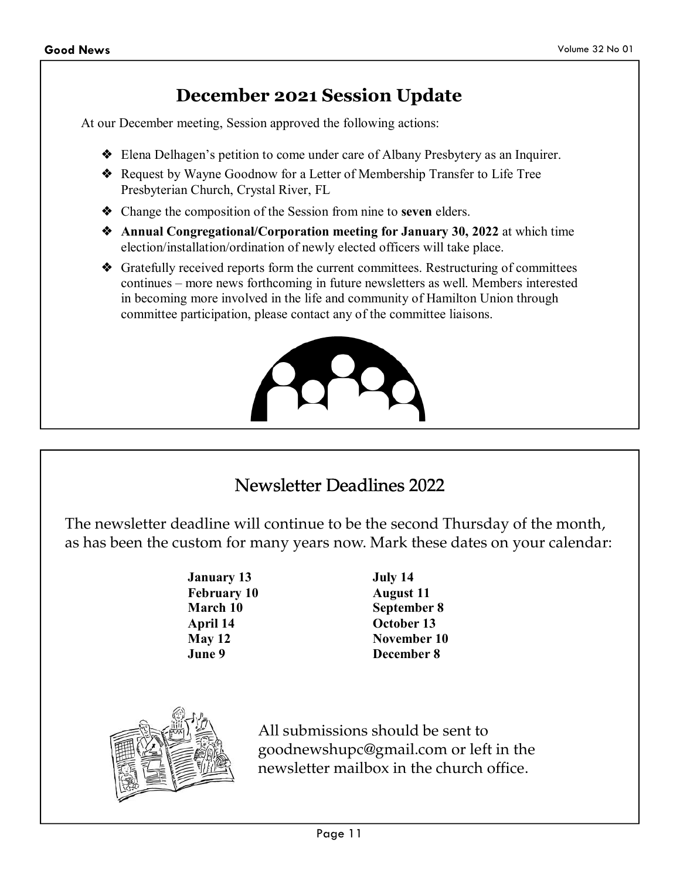# **December 2021 Session Update**

At our December meeting, Session approved the following actions:

- ❖ Elena Delhagen's petition to come under care of Albany Presbytery as an Inquirer.
- ❖ Request by Wayne Goodnow for a Letter of Membership Transfer to Life Tree Presbyterian Church, Crystal River, FL
- ❖ Change the composition of the Session from nine to **seven** elders.
- ❖ **Annual Congregational/Corporation meeting for January 30, 2022** at which time election/installation/ordination of newly elected officers will take place.
- ❖ Gratefully received reports form the current committees. Restructuring of committees continues – more news forthcoming in future newsletters as well. Members interested in becoming more involved in the life and community of Hamilton Union through committee participation, please contact any of the committee liaisons.



# Newsletter Deadlines 2022

The newsletter deadline will continue to be the second Thursday of the month, as has been the custom for many years now. Mark these dates on your calendar:

> **January 13 February 10 March 10 April 14 May 12 June 9**

**July 14 August 11 September 8 October 13 November 10 December 8** 



All submissions should be sent to goodnewshupc@gmail.com or left in the newsletter mailbox in the church office.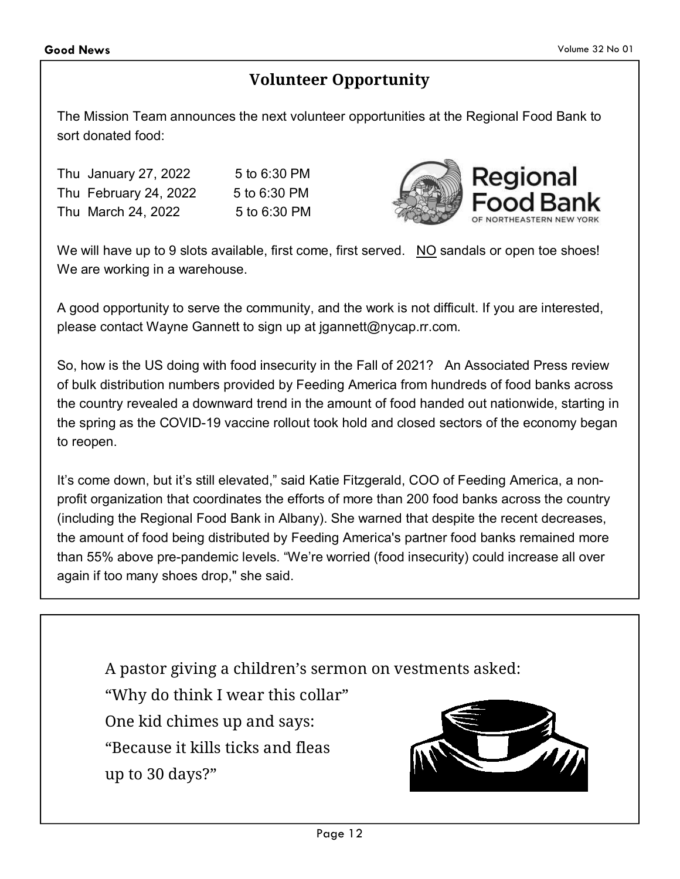# **Volunteer Opportunity**

The Mission Team announces the next volunteer opportunities at the Regional Food Bank to sort donated food:

Thu January 27, 2022 5 to 6:30 PM Thu February 24, 2022 5 to 6:30 PM Thu March 24, 2022 5 to 6:30 PM



We will have up to 9 slots available, first come, first served. NO sandals or open toe shoes! We are working in a warehouse.

A good opportunity to serve the community, and the work is not difficult. If you are interested, please contact Wayne Gannett to sign up at jgannett@nycap.rr.com.

So, how is the US doing with food insecurity in the Fall of 2021? An Associated Press review of bulk distribution numbers provided by Feeding America from hundreds of food banks across the country revealed a downward trend in the amount of food handed out nationwide, starting in the spring as the COVID-19 vaccine rollout took hold and closed sectors of the economy began to reopen.

It's come down, but it's still elevated," said Katie Fitzgerald, COO of Feeding America, a nonprofit organization that coordinates the efforts of more than 200 food banks across the country (including the Regional Food Bank in Albany). She warned that despite the recent decreases, the amount of food being distributed by Feeding America's partner food banks remained more than 55% above pre-pandemic levels. "We're worried (food insecurity) could increase all over again if too many shoes drop," she said.

A pastor giving a children's sermon on vestments asked: "Why do think I wear this collar" One kid chimes up and says: "Because it kills ticks and fleas up to 30 days?"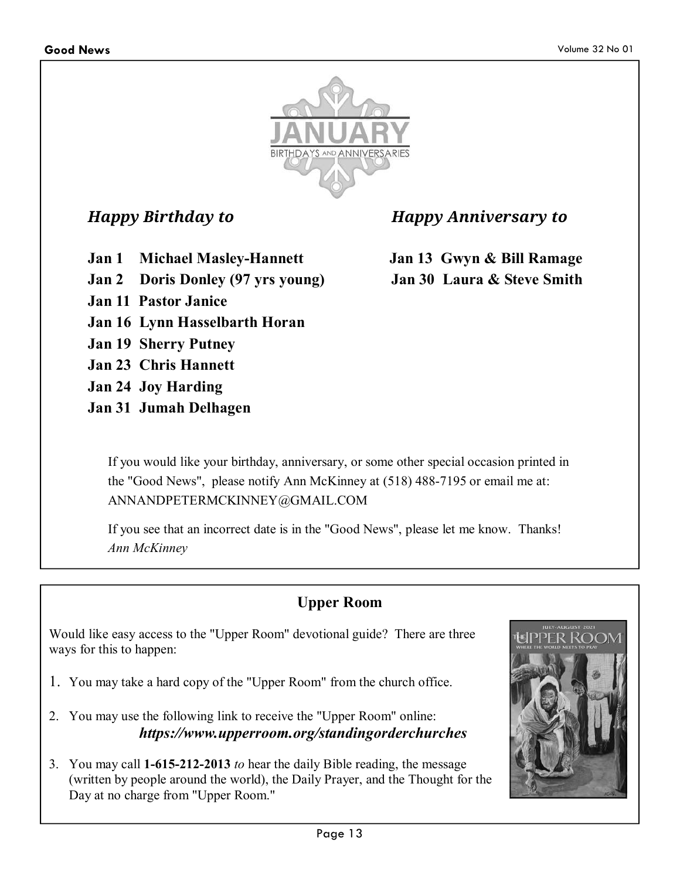

*Happy Birthday to Happy Anniversary to* 

**Jan 1 Michael Masley-Hannett Jan 13 Gwyn & Bill Ramage Jan 2 Doris Donley (97 yrs young) Jan 30 Laura & Steve Smith** 

- **Jan 11 Pastor Janice**
- **Jan 16 Lynn Hasselbarth Horan**
- **Jan 19 Sherry Putney**
- **Jan 23 Chris Hannett**
- **Jan 24 Joy Harding**
- **Jan 31 Jumah Delhagen**

If you would like your birthday, anniversary, or some other special occasion printed in the "Good News", please notify Ann McKinney at (518) 488-7195 or email me at: ANNANDPETERMCKINNEY@GMAIL.COM

If you see that an incorrect date is in the "Good News", please let me know. Thanks! *Ann McKinney*

# **Upper Room**

Would like easy access to the "Upper Room" devotional guide? There are three ways for this to happen:

- 1. You may take a hard copy of the "Upper Room" from the church office.
- 2. You may use the following link to receive the "Upper Room" online: *https://www.upperroom.org/standingorderchurches*
- 3. You may call **1-615-212-2013** *to* hear the daily Bible reading, the message (written by people around the world), the Daily Prayer, and the Thought for the Day at no charge from "Upper Room."

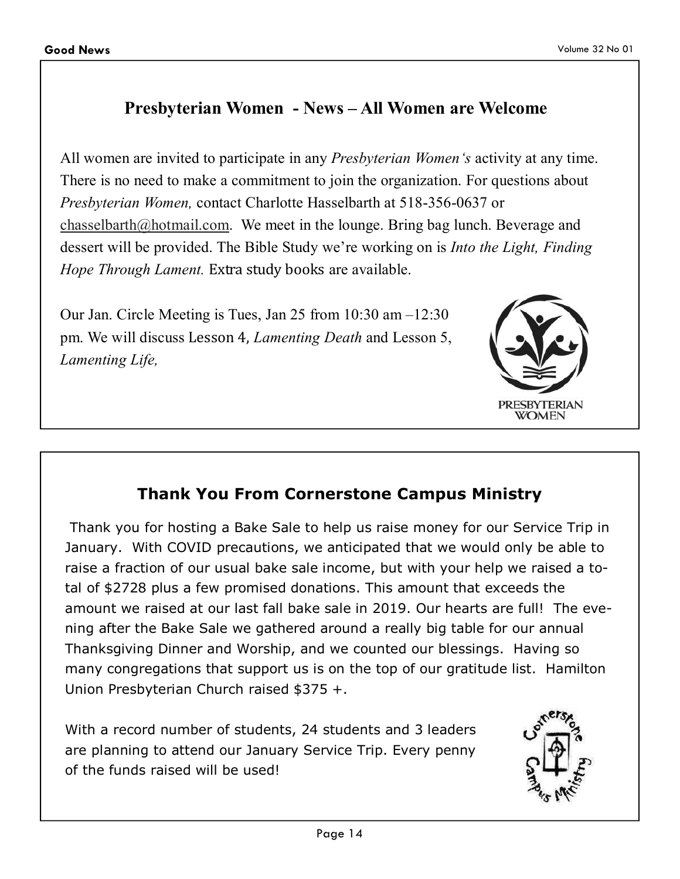# **Presbyterian Women - News – All Women are Welcome**

All women are invited to participate in any *Presbyterian Women's* activity at any time. There is no need to make a commitment to join the organization. For questions about *Presbyterian Women,* contact Charlotte Hasselbarth at 518-356-0637 or chasselbarth@hotmail.com. We meet in the lounge. Bring bag lunch. Beverage and dessert will be provided. The Bible Study we're working on is *Into the Light, Finding Hope Through Lament.* Extra study books are available.

Our Jan. Circle Meeting is Tues, Jan 25 from 10:30 am –12:30 pm. We will discuss Lesson 4, *Lamenting Death* and Lesson 5, *Lamenting Life,* 



# **Thank You From Cornerstone Campus Ministry**

 Thank you for hosting a Bake Sale to help us raise money for our Service Trip in January. With COVID precautions, we anticipated that we would only be able to raise a fraction of our usual bake sale income, but with your help we raised a total of \$2728 plus a few promised donations. This amount that exceeds the amount we raised at our last fall bake sale in 2019. Our hearts are full! The evening after the Bake Sale we gathered around a really big table for our annual Thanksgiving Dinner and Worship, and we counted our blessings. Having so many congregations that support us is on the top of our gratitude list. Hamilton Union Presbyterian Church raised \$375 +.

With a record number of students, 24 students and 3 leaders are planning to attend our January Service Trip. Every penny of the funds raised will be used!

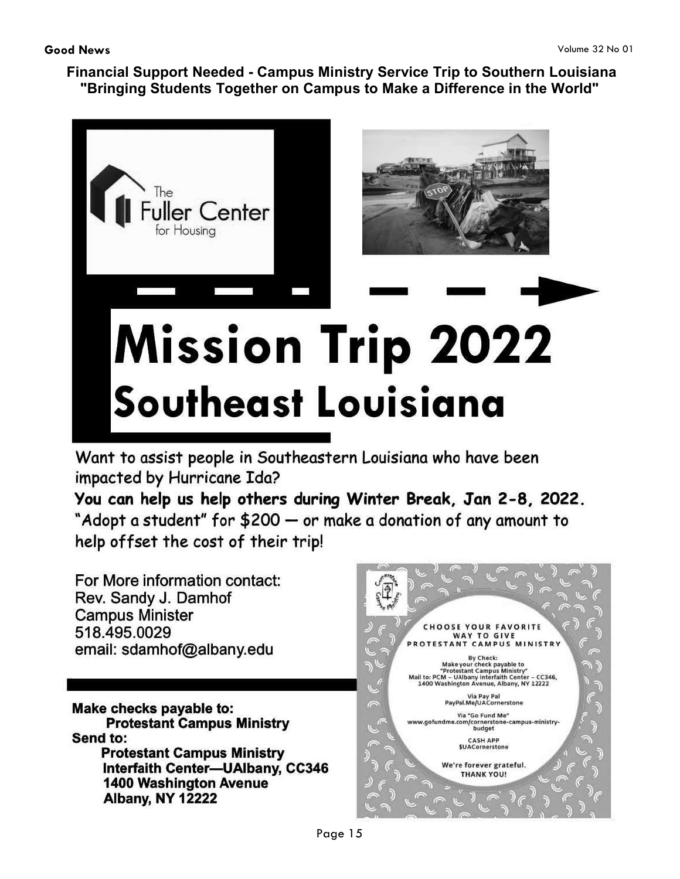**Financial Support Needed - Campus Ministry Service Trip to Southern Louisiana "Bringing Students Together on Campus to Make a Difference in the World"** 



Want to assist people in Southeastern Louisiana who have been impacted by Hurricane Ida?

You can help us help others during Winter Break, Jan 2-8, 2022. "Adopt a student" for \$200 - or make a donation of any amount to help offset the cost of their trip!

For More information contact: Rev. Sandy J. Damhof **Campus Minister** 518.495.0029 email: sdamhof@albany.edu

Make checks payable to: **Protestant Campus Ministry** Send to: **Protestant Campus Ministry** Interfaith Center-UAlbany, CC346 **1400 Washington Avenue Albany, NY 12222** 

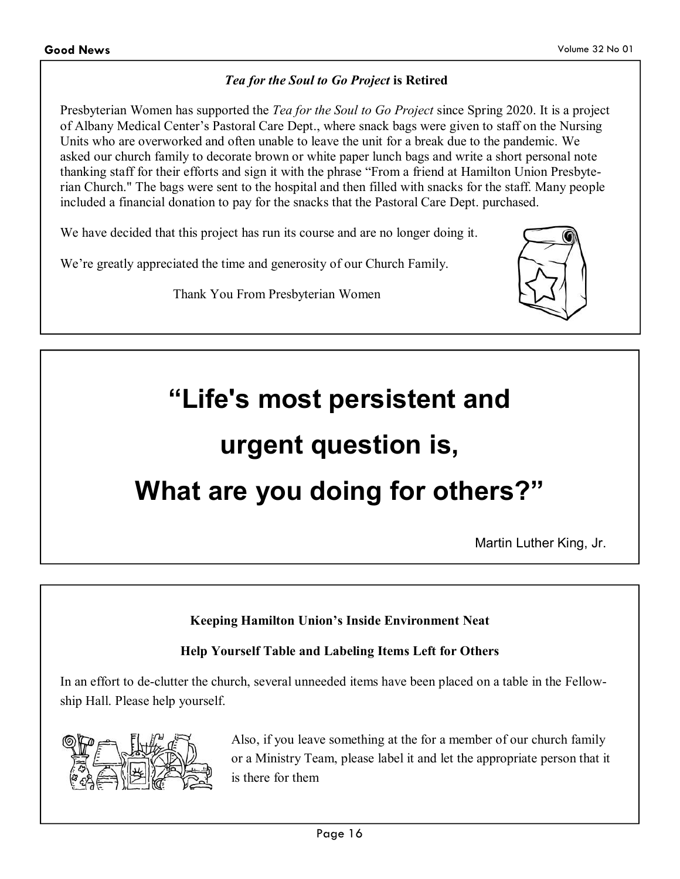#### *Tea for the Soul to Go Project* **is Retired**

Presbyterian Women has supported the *Tea for the Soul to Go Project* since Spring 2020. It is a project of Albany Medical Center's Pastoral Care Dept., where snack bags were given to staff on the Nursing Units who are overworked and often unable to leave the unit for a break due to the pandemic. We asked our church family to decorate brown or white paper lunch bags and write a short personal note thanking staff for their efforts and sign it with the phrase "From a friend at Hamilton Union Presbyterian Church." The bags were sent to the hospital and then filled with snacks for the staff. Many people included a financial donation to pay for the snacks that the Pastoral Care Dept. purchased.

We have decided that this project has run its course and are no longer doing it.

We're greatly appreciated the time and generosity of our Church Family.

Thank You From Presbyterian Women



# **"Life's most persistent and urgent question is, What are you doing for others?"**

Martin Luther King, Jr.

**Keeping Hamilton Union's Inside Environment Neat** 

#### **Help Yourself Table and Labeling Items Left for Others**

In an effort to de-clutter the church, several unneeded items have been placed on a table in the Fellowship Hall. Please help yourself.



Also, if you leave something at the for a member of our church family or a Ministry Team, please label it and let the appropriate person that it is there for them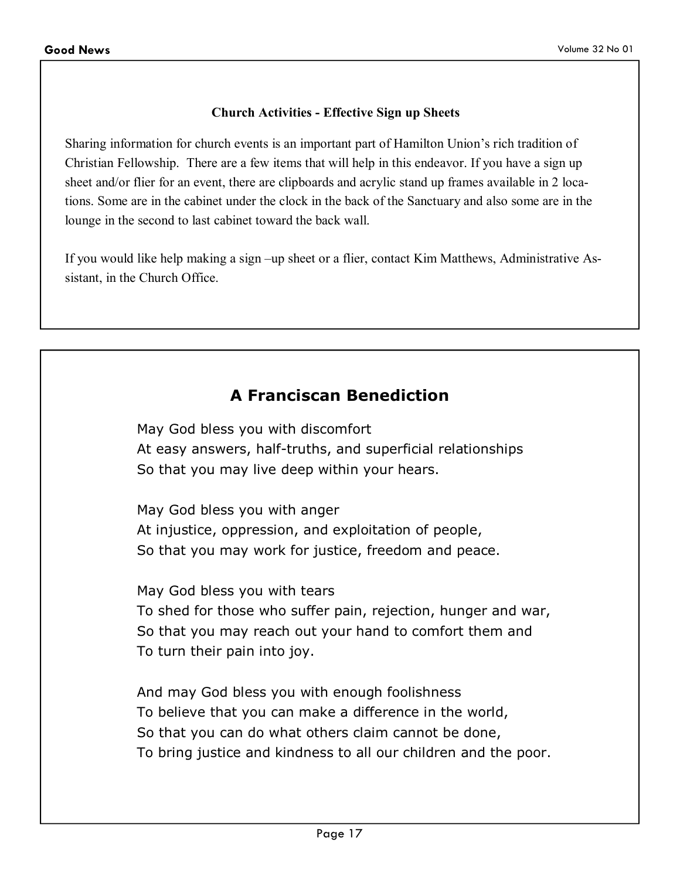#### **Church Activities - Effective Sign up Sheets**

Sharing information for church events is an important part of Hamilton Union's rich tradition of Christian Fellowship. There are a few items that will help in this endeavor. If you have a sign up sheet and/or flier for an event, there are clipboards and acrylic stand up frames available in 2 locations. Some are in the cabinet under the clock in the back of the Sanctuary and also some are in the lounge in the second to last cabinet toward the back wall.

If you would like help making a sign –up sheet or a flier, contact Kim Matthews, Administrative Assistant, in the Church Office.

## **A Franciscan Benediction**

May God bless you with discomfort At easy answers, half-truths, and superficial relationships So that you may live deep within your hears.

May God bless you with anger At injustice, oppression, and exploitation of people, So that you may work for justice, freedom and peace.

May God bless you with tears To shed for those who suffer pain, rejection, hunger and war, So that you may reach out your hand to comfort them and To turn their pain into joy.

And may God bless you with enough foolishness To believe that you can make a difference in the world, So that you can do what others claim cannot be done, To bring justice and kindness to all our children and the poor.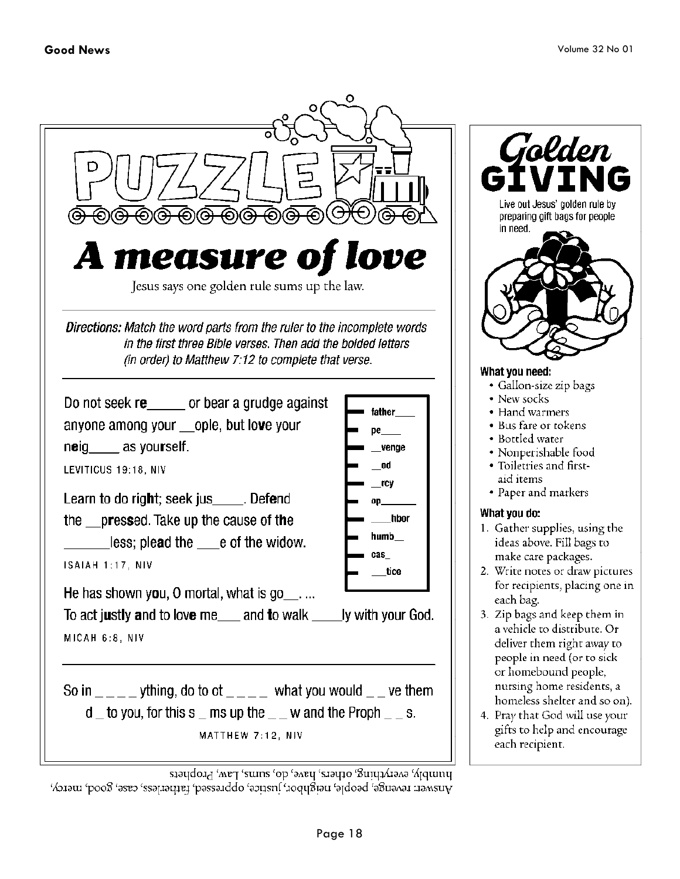

primply, everything, others, have, do, sums, Law, Prophets Answer: revenge, people, neighbor, justice, oppresed, fatheriess, case, good, mercy,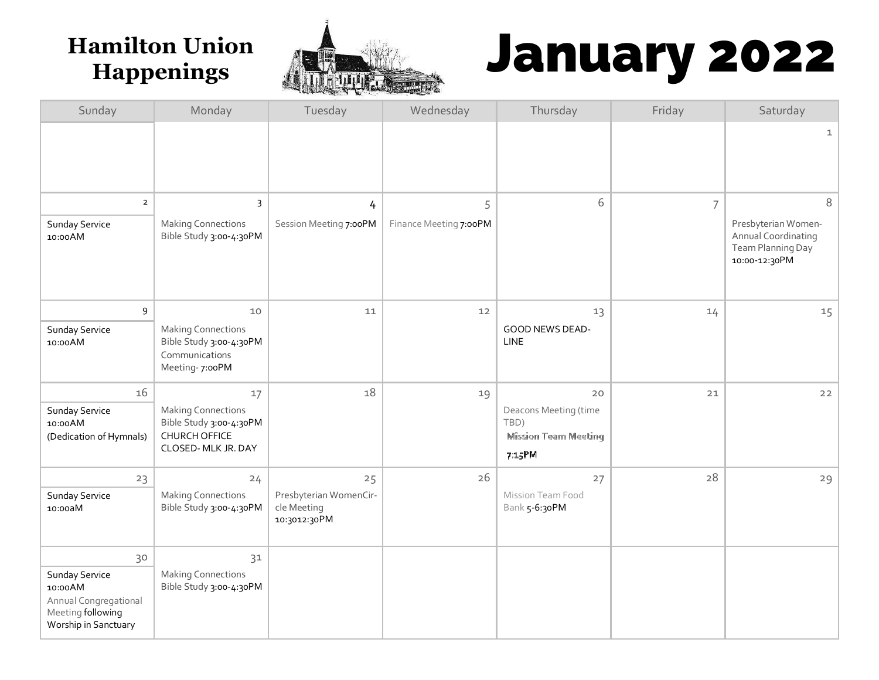

# Hamilton Union **Hamilton Union Antiques 3 January 2022**

| Sunday                                                                                           | Monday                                                                                       | Tuesday                                               | Wednesday              | Thursday                                                     | Friday         | Saturday                                                                         |
|--------------------------------------------------------------------------------------------------|----------------------------------------------------------------------------------------------|-------------------------------------------------------|------------------------|--------------------------------------------------------------|----------------|----------------------------------------------------------------------------------|
|                                                                                                  |                                                                                              |                                                       |                        |                                                              |                | $\mathbf{1}$                                                                     |
| $\overline{2}$                                                                                   | 3                                                                                            | 4                                                     | 5                      | 6                                                            | $\overline{7}$ | 8                                                                                |
| Sunday Service<br>10:00 AM                                                                       | <b>Making Connections</b><br>Bible Study 3:00-4:30PM                                         | Session Meeting 7:00PM                                | Finance Meeting 7:00PM |                                                              |                | Presbyterian Women-<br>Annual Coordinating<br>Team Planning Day<br>10:00-12:30PM |
| 9                                                                                                | 10                                                                                           | 11                                                    | 12                     | 13                                                           | 14             | 15                                                                               |
| Sunday Service<br>10:00 AM                                                                       | <b>Making Connections</b><br>Bible Study 3:00-4:30PM<br>Communications<br>Meeting-7:00PM     |                                                       |                        | GOOD NEWS DEAD-<br><b>LINE</b>                               |                |                                                                                  |
| 16                                                                                               | 17                                                                                           | 18                                                    | 19                     | 20                                                           | $21$           | $22$                                                                             |
| Sunday Service<br>10:00 AM<br>(Dedication of Hymnals)                                            | <b>Making Connections</b><br>Bible Study 3:00-4:30PM<br>CHURCH OFFICE<br>CLOSED- MLK JR. DAY |                                                       |                        | Deacons Meeting (time<br>TBD)<br><b>Mission Team Meeting</b> |                |                                                                                  |
|                                                                                                  |                                                                                              |                                                       |                        | 7:15PM                                                       |                |                                                                                  |
| 23                                                                                               | 24                                                                                           | 25                                                    | 26                     | 27                                                           | 28             | 29                                                                               |
| Sunday Service<br>10:00aM                                                                        | <b>Making Connections</b><br>Bible Study 3:00-4:30PM                                         | Presbyterian WomenCir-<br>cle Meeting<br>10:3012:30PM |                        | Mission Team Food<br>Bank 5-6:30PM                           |                |                                                                                  |
| 30                                                                                               | 31                                                                                           |                                                       |                        |                                                              |                |                                                                                  |
| Sunday Service<br>10:00 AM<br>Annual Congregational<br>Meeting following<br>Worship in Sanctuary | <b>Making Connections</b><br>Bible Study 3:00-4:30PM                                         |                                                       |                        |                                                              |                |                                                                                  |